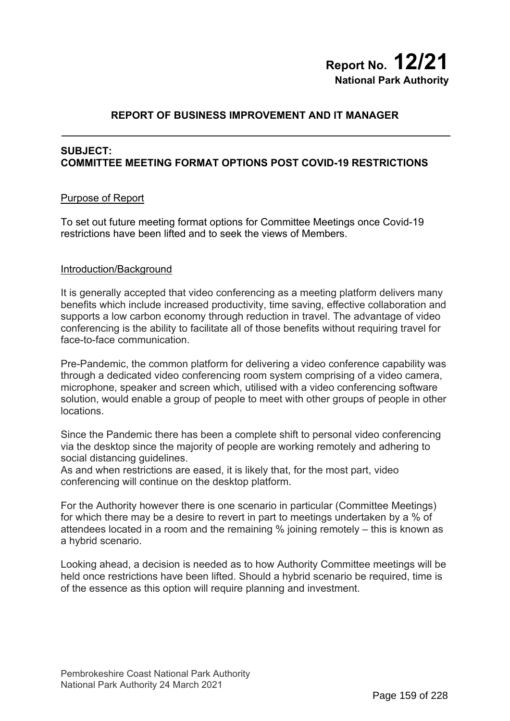# **Report No. 12/21 National Park Authority**

# **REPORT OF BUSINESS IMPROVEMENT AND IT MANAGER**

#### **SUBJECT: COMMITTEE MEETING FORMAT OPTIONS POST COVID-19 RESTRICTIONS**

#### Purpose of Report

To set out future meeting format options for Committee Meetings once Covid-19 restrictions have been lifted and to seek the views of Members.

#### Introduction/Background

It is generally accepted that video conferencing as a meeting platform delivers many benefits which include increased productivity, time saving, effective collaboration and supports a low carbon economy through reduction in travel. The advantage of video conferencing is the ability to facilitate all of those benefits without requiring travel for face-to-face communication.

Pre-Pandemic, the common platform for delivering a video conference capability was through a dedicated video conferencing room system comprising of a video camera, microphone, speaker and screen which, utilised with a video conferencing software solution, would enable a group of people to meet with other groups of people in other locations.

Since the Pandemic there has been a complete shift to personal video conferencing via the desktop since the majority of people are working remotely and adhering to social distancing quidelines.

As and when restrictions are eased, it is likely that, for the most part, video conferencing will continue on the desktop platform.

For the Authority however there is one scenario in particular (Committee Meetings) for which there may be a desire to revert in part to meetings undertaken by a % of attendees located in a room and the remaining % joining remotely – this is known as a hybrid scenario.

Looking ahead, a decision is needed as to how Authority Committee meetings will be held once restrictions have been lifted. Should a hybrid scenario be required, time is of the essence as this option will require planning and investment.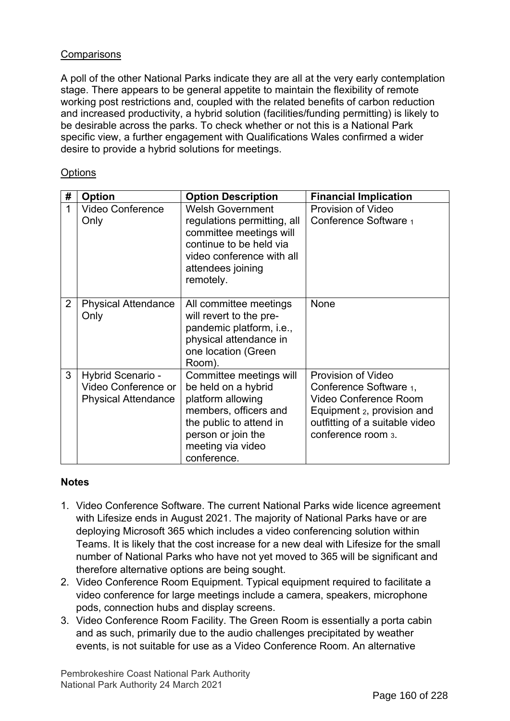## **Comparisons**

A poll of the other National Parks indicate they are all at the very early contemplation stage. There appears to be general appetite to maintain the flexibility of remote working post restrictions and, coupled with the related benefits of carbon reduction and increased productivity, a hybrid solution (facilities/funding permitting) is likely to be desirable across the parks. To check whether or not this is a National Park specific view, a further engagement with Qualifications Wales confirmed a wider desire to provide a hybrid solutions for meetings.

## **Options**

| #              | <b>Option</b>                                                          | <b>Option Description</b>                                                                                                                                                         | <b>Financial Implication</b>                                                                                                                                       |
|----------------|------------------------------------------------------------------------|-----------------------------------------------------------------------------------------------------------------------------------------------------------------------------------|--------------------------------------------------------------------------------------------------------------------------------------------------------------------|
| 1              | <b>Video Conference</b><br>Only                                        | <b>Welsh Government</b><br>regulations permitting, all<br>committee meetings will<br>continue to be held via<br>video conference with all<br>attendees joining<br>remotely.       | Provision of Video<br>Conference Software 1                                                                                                                        |
| $\overline{2}$ | <b>Physical Attendance</b><br>Only                                     | All committee meetings<br>will revert to the pre-<br>pandemic platform, i.e.,<br>physical attendance in<br>one location (Green<br>Room).                                          | None                                                                                                                                                               |
| 3              | Hybrid Scenario -<br>Video Conference or<br><b>Physical Attendance</b> | Committee meetings will<br>be held on a hybrid<br>platform allowing<br>members, officers and<br>the public to attend in<br>person or join the<br>meeting via video<br>conference. | Provision of Video<br>Conference Software 1,<br><b>Video Conference Room</b><br>Equipment 2, provision and<br>outfitting of a suitable video<br>conference room 3. |

### **Notes**

- 1. Video Conference Software. The current National Parks wide licence agreement with Lifesize ends in August 2021. The majority of National Parks have or are deploying Microsoft 365 which includes a video conferencing solution within Teams. It is likely that the cost increase for a new deal with Lifesize for the small number of National Parks who have not yet moved to 365 will be significant and therefore alternative options are being sought.
- 2. Video Conference Room Equipment. Typical equipment required to facilitate a video conference for large meetings include a camera, speakers, microphone pods, connection hubs and display screens.
- 3. Video Conference Room Facility. The Green Room is essentially a porta cabin and as such, primarily due to the audio challenges precipitated by weather events, is not suitable for use as a Video Conference Room. An alternative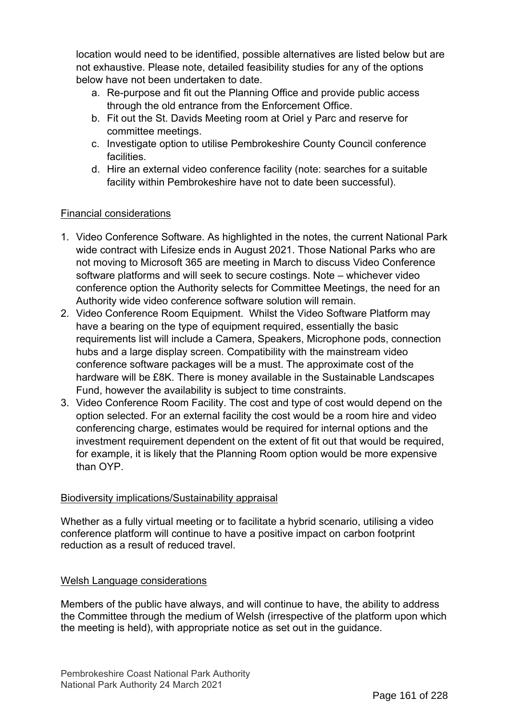location would need to be identified, possible alternatives are listed below but are not exhaustive. Please note, detailed feasibility studies for any of the options below have not been undertaken to date.

- a. Re-purpose and fit out the Planning Office and provide public access through the old entrance from the Enforcement Office.
- b. Fit out the St. Davids Meeting room at Oriel y Parc and reserve for committee meetings.
- c. Investigate option to utilise Pembrokeshire County Council conference facilities.
- d. Hire an external video conference facility (note: searches for a suitable facility within Pembrokeshire have not to date been successful).

# Financial considerations

- 1. Video Conference Software. As highlighted in the notes, the current National Park wide contract with Lifesize ends in August 2021. Those National Parks who are not moving to Microsoft 365 are meeting in March to discuss Video Conference software platforms and will seek to secure costings. Note – whichever video conference option the Authority selects for Committee Meetings, the need for an Authority wide video conference software solution will remain.
- 2. Video Conference Room Equipment. Whilst the Video Software Platform may have a bearing on the type of equipment required, essentially the basic requirements list will include a Camera, Speakers, Microphone pods, connection hubs and a large display screen. Compatibility with the mainstream video conference software packages will be a must. The approximate cost of the hardware will be £8K. There is money available in the Sustainable Landscapes Fund, however the availability is subject to time constraints.
- 3. Video Conference Room Facility. The cost and type of cost would depend on the option selected. For an external facility the cost would be a room hire and video conferencing charge, estimates would be required for internal options and the investment requirement dependent on the extent of fit out that would be required, for example, it is likely that the Planning Room option would be more expensive than OYP.

# Biodiversity implications/Sustainability appraisal

Whether as a fully virtual meeting or to facilitate a hybrid scenario, utilising a video conference platform will continue to have a positive impact on carbon footprint reduction as a result of reduced travel.

### Welsh Language considerations

Members of the public have always, and will continue to have, the ability to address the Committee through the medium of Welsh (irrespective of the platform upon which the meeting is held), with appropriate notice as set out in the guidance.